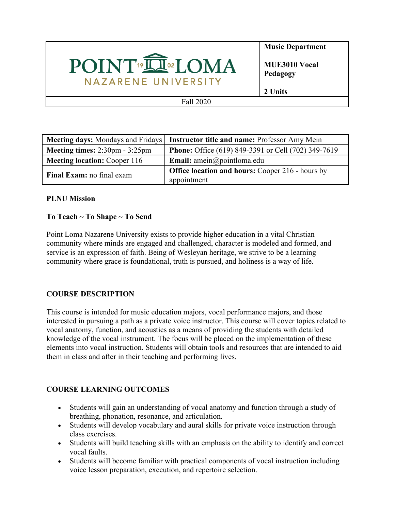# POINT<sup>®</sup>IN® LOMA NAZARENE UNIVERSITY

**Music Department**

**MUE3010 Vocal Pedagogy**

**2 Units**

Fall 2020

|                                                         | Meeting days: Mondays and Fridays   Instructor title and name: Professor Amy Mein |
|---------------------------------------------------------|-----------------------------------------------------------------------------------|
| <b>Meeting times:</b> $2:30 \text{pm} - 3:25 \text{pm}$ | Phone: Office (619) 849-3391 or Cell (702) 349-7619                               |
| <b>Meeting location: Cooper 116</b>                     | <b>Email:</b> amein@pointloma.edu                                                 |
| Final Exam: no final exam                               | <b>Office location and hours:</b> Cooper 216 - hours by                           |
|                                                         | appointment                                                                       |

# **PLNU Mission**

# **To Teach ~ To Shape ~ To Send**

Point Loma Nazarene University exists to provide higher education in a vital Christian community where minds are engaged and challenged, character is modeled and formed, and service is an expression of faith. Being of Wesleyan heritage, we strive to be a learning community where grace is foundational, truth is pursued, and holiness is a way of life.

# **COURSE DESCRIPTION**

This course is intended for music education majors, vocal performance majors, and those interested in pursuing a path as a private voice instructor. This course will cover topics related to vocal anatomy, function, and acoustics as a means of providing the students with detailed knowledge of the vocal instrument. The focus will be placed on the implementation of these elements into vocal instruction. Students will obtain tools and resources that are intended to aid them in class and after in their teaching and performing lives.

# **COURSE LEARNING OUTCOMES**

- Students will gain an understanding of vocal anatomy and function through a study of breathing, phonation, resonance, and articulation.
- Students will develop vocabulary and aural skills for private voice instruction through class exercises.
- Students will build teaching skills with an emphasis on the ability to identify and correct vocal faults.
- Students will become familiar with practical components of vocal instruction including voice lesson preparation, execution, and repertoire selection.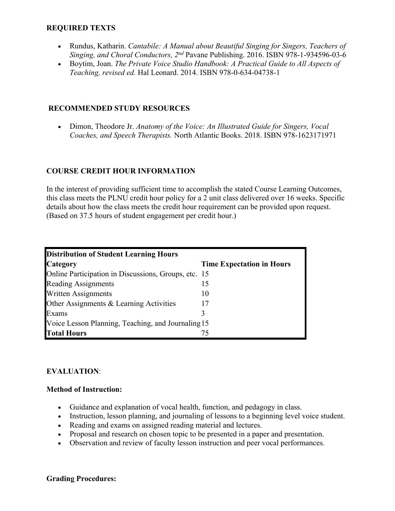#### **REQUIRED TEXTS**

- Rundus, Katharin. *Cantabile: A Manual about Beautiful Singing for Singers, Teachers of Singing, and Choral Conductors, 2nd* Pavane Publishing. 2016. ISBN 978-1-934596-03-6
- Boytim, Joan. *The Private Voice Studio Handbook: A Practical Guide to All Aspects of Teaching, revised ed.* Hal Leonard. 2014. ISBN 978-0-634-04738-1

#### **RECOMMENDED STUDY RESOURCES**

 Dimon, Theodore Jr. *Anatomy of the Voice: An Illustrated Guide for Singers, Vocal Coaches, and Speech Therapists.* North Atlantic Books. 2018. ISBN 978-1623171971

#### **COURSE CREDIT HOUR INFORMATION**

In the interest of providing sufficient time to accomplish the stated Course Learning Outcomes, this class meets the PLNU credit hour policy for a 2 unit class delivered over 16 weeks. Specific details about how the class meets the credit hour requirement can be provided upon request. (Based on 37.5 hours of student engagement per credit hour.)

| <b>Distribution of Student Learning Hours</b>        |                                  |  |
|------------------------------------------------------|----------------------------------|--|
| <b>Category</b>                                      | <b>Time Expectation in Hours</b> |  |
| Online Participation in Discussions, Groups, etc. 15 |                                  |  |
| <b>Reading Assignments</b>                           | 15                               |  |
| <b>Written Assignments</b>                           | $\mathbf{I}(\mathbf{0})$         |  |
| Other Assignments & Learning Activities              |                                  |  |
| Exams                                                |                                  |  |
| Voice Lesson Planning, Teaching, and Journaling 15   |                                  |  |
| <b>Total Hours</b>                                   | 75                               |  |

#### **EVALUATION**:

#### **Method of Instruction:**

- Guidance and explanation of vocal health, function, and pedagogy in class.
- Instruction, lesson planning, and journaling of lessons to a beginning level voice student.
- Reading and exams on assigned reading material and lectures.
- Proposal and research on chosen topic to be presented in a paper and presentation.
- Observation and review of faculty lesson instruction and peer vocal performances.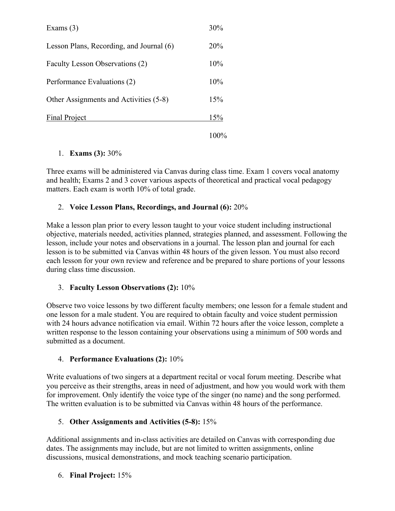| Exams $(3)$                              | 30%  |
|------------------------------------------|------|
| Lesson Plans, Recording, and Journal (6) | 20%  |
| Faculty Lesson Observations (2)          | 10%  |
| Performance Evaluations (2)              | 10%  |
| Other Assignments and Activities (5-8)   | 15%  |
| <b>Final Project</b>                     | 15%  |
|                                          | 100% |

# 1. **Exams (3):** 30%

Three exams will be administered via Canvas during class time. Exam 1 covers vocal anatomy and health; Exams 2 and 3 cover various aspects of theoretical and practical vocal pedagogy matters. Each exam is worth 10% of total grade.

# 2. **Voice Lesson Plans, Recordings, and Journal (6):** 20%

Make a lesson plan prior to every lesson taught to your voice student including instructional objective, materials needed, activities planned, strategies planned, and assessment. Following the lesson, include your notes and observations in a journal. The lesson plan and journal for each lesson is to be submitted via Canvas within 48 hours of the given lesson. You must also record each lesson for your own review and reference and be prepared to share portions of your lessons during class time discussion.

# 3. **Faculty Lesson Observations (2):** 10%

Observe two voice lessons by two different faculty members; one lesson for a female student and one lesson for a male student. You are required to obtain faculty and voice student permission with 24 hours advance notification via email. Within 72 hours after the voice lesson, complete a written response to the lesson containing your observations using a minimum of 500 words and submitted as a document.

# 4. **Performance Evaluations (2):** 10%

Write evaluations of two singers at a department recital or vocal forum meeting. Describe what you perceive as their strengths, areas in need of adjustment, and how you would work with them for improvement. Only identify the voice type of the singer (no name) and the song performed. The written evaluation is to be submitted via Canvas within 48 hours of the performance.

# 5. **Other Assignments and Activities (5-8):** 15%

Additional assignments and in-class activities are detailed on Canvas with corresponding due dates. The assignments may include, but are not limited to written assignments, online discussions, musical demonstrations, and mock teaching scenario participation.

# 6. **Final Project:** 15%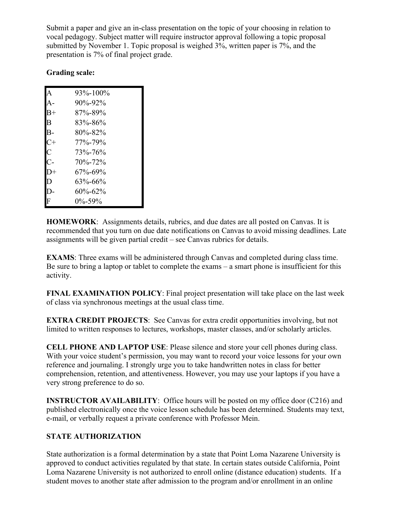Submit a paper and give an in-class presentation on the topic of your choosing in relation to vocal pedagogy. Subject matter will require instructor approval following a topic proposal submitted by November 1. Topic proposal is weighed 3%, written paper is 7%, and the presentation is 7% of final project grade.

## **Grading scale:**

| A  | 93%-100%      |
|----|---------------|
| A- | 90%-92%       |
| B+ | 87%-89%       |
| B  | 83%-86%       |
| B- | $80\% - 82\%$ |
| C+ | 77%-79%       |
| C  | 73%-76%       |
| С- | 70\%-72\%     |
| D+ | 67%-69%       |
| D  | 63%-66%       |
| D- | 60%-62%       |
| F  | $0\% - 59\%$  |

**HOMEWORK**: Assignments details, rubrics, and due dates are all posted on Canvas. It is recommended that you turn on due date notifications on Canvas to avoid missing deadlines. Late assignments will be given partial credit – see Canvas rubrics for details.

**EXAMS**: Three exams will be administered through Canvas and completed during class time. Be sure to bring a laptop or tablet to complete the exams – a smart phone is insufficient for this activity.

**FINAL EXAMINATION POLICY**: Final project presentation will take place on the last week of class via synchronous meetings at the usual class time.

**EXTRA CREDIT PROJECTS**: See Canvas for extra credit opportunities involving, but not limited to written responses to lectures, workshops, master classes, and/or scholarly articles.

**CELL PHONE AND LAPTOP USE**: Please silence and store your cell phones during class. With your voice student's permission, you may want to record your voice lessons for your own reference and journaling. I strongly urge you to take handwritten notes in class for better comprehension, retention, and attentiveness. However, you may use your laptops if you have a very strong preference to do so.

**INSTRUCTOR AVAILABILITY:** Office hours will be posted on my office door (C216) and published electronically once the voice lesson schedule has been determined. Students may text, e-mail, or verbally request a private conference with Professor Mein.

## **STATE AUTHORIZATION**

State authorization is a formal determination by a state that Point Loma Nazarene University is approved to conduct activities regulated by that state. In certain states outside California, Point Loma Nazarene University is not authorized to enroll online (distance education) students. If a student moves to another state after admission to the program and/or enrollment in an online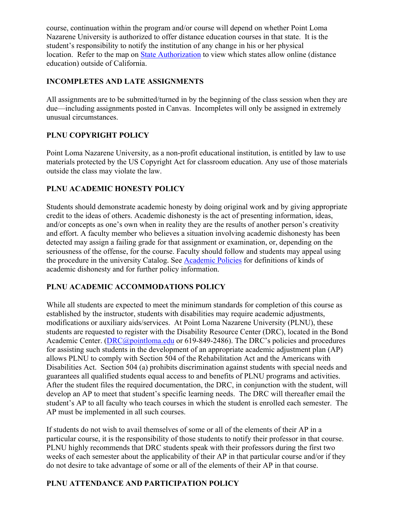course, continuation within the program and/or course will depend on whether Point Loma Nazarene University is authorized to offer distance education courses in that state. It is the student's responsibility to notify the institution of any change in his or her physical location. Refer to the map on [State Authorization](https://www.pointloma.edu/offices/office-institutional-effectiveness-research/disclosures) to view which states allow online (distance education) outside of California.

# **INCOMPLETES AND LATE ASSIGNMENTS**

All assignments are to be submitted/turned in by the beginning of the class session when they are due—including assignments posted in Canvas. Incompletes will only be assigned in extremely unusual circumstances.

# **PLNU COPYRIGHT POLICY**

Point Loma Nazarene University, as a non-profit educational institution, is entitled by law to use materials protected by the US Copyright Act for classroom education. Any use of those materials outside the class may violate the law.

## **PLNU ACADEMIC HONESTY POLICY**

Students should demonstrate academic honesty by doing original work and by giving appropriate credit to the ideas of others. Academic dishonesty is the act of presenting information, ideas, and/or concepts as one's own when in reality they are the results of another person's creativity and effort. A faculty member who believes a situation involving academic dishonesty has been detected may assign a failing grade for that assignment or examination, or, depending on the seriousness of the offense, for the course. Faculty should follow and students may appeal using the procedure in the university Catalog. See [Academic Policies](http://catalog.pointloma.edu/content.php?catoid=18&navoid=1278) for definitions of kinds of academic dishonesty and for further policy information.

## **PLNU ACADEMIC ACCOMMODATIONS POLICY**

While all students are expected to meet the minimum standards for completion of this course as established by the instructor, students with disabilities may require academic adjustments, modifications or auxiliary aids/services. At Point Loma Nazarene University (PLNU), these students are requested to register with the Disability Resource Center (DRC), located in the Bond Academic Center. ([DRC@pointloma.edu](mailto:DRC@pointloma.edu) or 619-849-2486). The DRC's policies and procedures for assisting such students in the development of an appropriate academic adjustment plan (AP) allows PLNU to comply with Section 504 of the Rehabilitation Act and the Americans with Disabilities Act. Section 504 (a) prohibits discrimination against students with special needs and guarantees all qualified students equal access to and benefits of PLNU programs and activities. After the student files the required documentation, the DRC, in conjunction with the student, will develop an AP to meet that student's specific learning needs. The DRC will thereafter email the student's AP to all faculty who teach courses in which the student is enrolled each semester. The AP must be implemented in all such courses.

If students do not wish to avail themselves of some or all of the elements of their AP in a particular course, it is the responsibility of those students to notify their professor in that course. PLNU highly recommends that DRC students speak with their professors during the first two weeks of each semester about the applicability of their AP in that particular course and/or if they do not desire to take advantage of some or all of the elements of their AP in that course.

# **PLNU ATTENDANCE AND PARTICIPATION POLICY**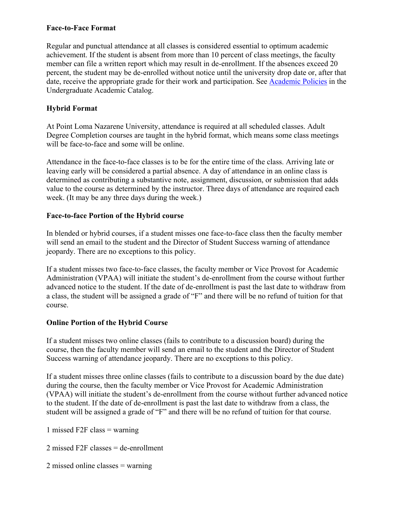#### **Face-to-Face Format**

Regular and punctual attendance at all classes is considered essential to optimum academic achievement. If the student is absent from more than 10 percent of class meetings, the faculty member can file a written report which may result in de-enrollment. If the absences exceed 20 percent, the student may be de-enrolled without notice until the university drop date or, after that date, receive the appropriate grade for their work and participation. See [Academic Policies](http://catalog.pointloma.edu/content.php?catoid=18&navoid=1278) in the Undergraduate Academic Catalog.

## **Hybrid Format**

At Point Loma Nazarene University, attendance is required at all scheduled classes. Adult Degree Completion courses are taught in the hybrid format, which means some class meetings will be face-to-face and some will be online.

Attendance in the face-to-face classes is to be for the entire time of the class. Arriving late or leaving early will be considered a partial absence. A day of attendance in an online class is determined as contributing a substantive note, assignment, discussion, or submission that adds value to the course as determined by the instructor. Three days of attendance are required each week. (It may be any three days during the week.)

## **Face-to-face Portion of the Hybrid course**

In blended or hybrid courses, if a student misses one face-to-face class then the faculty member will send an email to the student and the Director of Student Success warning of attendance jeopardy. There are no exceptions to this policy.

If a student misses two face-to-face classes, the faculty member or Vice Provost for Academic Administration (VPAA) will initiate the student's de-enrollment from the course without further advanced notice to the student. If the date of de-enrollment is past the last date to withdraw from a class, the student will be assigned a grade of "F" and there will be no refund of tuition for that course.

# **Online Portion of the Hybrid Course**

If a student misses two online classes (fails to contribute to a discussion board) during the course, then the faculty member will send an email to the student and the Director of Student Success warning of attendance jeopardy. There are no exceptions to this policy.

If a student misses three online classes (fails to contribute to a discussion board by the due date) during the course, then the faculty member or Vice Provost for Academic Administration (VPAA) will initiate the student's de-enrollment from the course without further advanced notice to the student. If the date of de-enrollment is past the last date to withdraw from a class, the student will be assigned a grade of "F" and there will be no refund of tuition for that course.

1 missed F2F class = warning

2 missed F2F classes = de-enrollment

2 missed online classes = warning